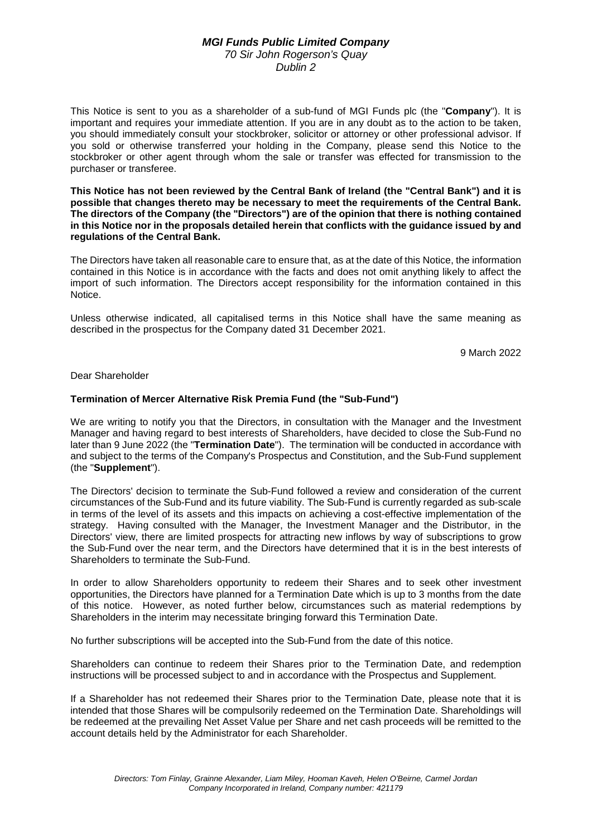## *MGI Funds Public Limited Company 70 Sir John Rogerson's Quay Dublin 2*

This Notice is sent to you as a shareholder of a sub-fund of MGI Funds plc (the "**Company**"). It is important and requires your immediate attention. If you are in any doubt as to the action to be taken, you should immediately consult your stockbroker, solicitor or attorney or other professional advisor. If you sold or otherwise transferred your holding in the Company, please send this Notice to the stockbroker or other agent through whom the sale or transfer was effected for transmission to the purchaser or transferee.

**This Notice has not been reviewed by the Central Bank of Ireland (the "Central Bank") and it is possible that changes thereto may be necessary to meet the requirements of the Central Bank. The directors of the Company (the "Directors") are of the opinion that there is nothing contained in this Notice nor in the proposals detailed herein that conflicts with the guidance issued by and regulations of the Central Bank.** 

The Directors have taken all reasonable care to ensure that, as at the date of this Notice, the information contained in this Notice is in accordance with the facts and does not omit anything likely to affect the import of such information. The Directors accept responsibility for the information contained in this Notice.

Unless otherwise indicated, all capitalised terms in this Notice shall have the same meaning as described in the prospectus for the Company dated 31 December 2021.

9 March 2022

## Dear Shareholder

## **Termination of Mercer Alternative Risk Premia Fund (the "Sub-Fund")**

We are writing to notify you that the Directors, in consultation with the Manager and the Investment Manager and having regard to best interests of Shareholders, have decided to close the Sub-Fund no later than 9 June 2022 (the "**Termination Date**"). The termination will be conducted in accordance with and subject to the terms of the Company's Prospectus and Constitution, and the Sub-Fund supplement (the "**Supplement**").

The Directors' decision to terminate the Sub-Fund followed a review and consideration of the current circumstances of the Sub-Fund and its future viability. The Sub-Fund is currently regarded as sub-scale in terms of the level of its assets and this impacts on achieving a cost-effective implementation of the strategy. Having consulted with the Manager, the Investment Manager and the Distributor, in the Directors' view, there are limited prospects for attracting new inflows by way of subscriptions to grow the Sub-Fund over the near term, and the Directors have determined that it is in the best interests of Shareholders to terminate the Sub-Fund.

In order to allow Shareholders opportunity to redeem their Shares and to seek other investment opportunities, the Directors have planned for a Termination Date which is up to 3 months from the date of this notice. However, as noted further below, circumstances such as material redemptions by Shareholders in the interim may necessitate bringing forward this Termination Date.

No further subscriptions will be accepted into the Sub-Fund from the date of this notice.

Shareholders can continue to redeem their Shares prior to the Termination Date, and redemption instructions will be processed subject to and in accordance with the Prospectus and Supplement.

If a Shareholder has not redeemed their Shares prior to the Termination Date, please note that it is intended that those Shares will be compulsorily redeemed on the Termination Date. Shareholdings will be redeemed at the prevailing Net Asset Value per Share and net cash proceeds will be remitted to the account details held by the Administrator for each Shareholder.